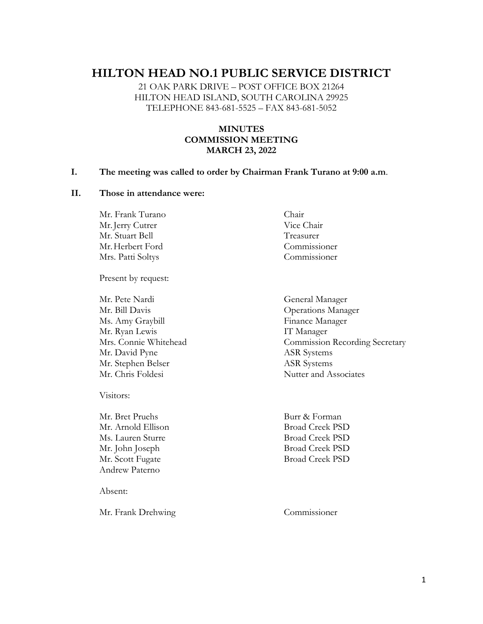# **HILTON HEAD NO.1 PUBLIC SERVICE DISTRICT**

21 OAK PARK DRIVE – POST OFFICE BOX 21264 HILTON HEAD ISLAND, SOUTH CAROLINA 29925 TELEPHONE 843-681-5525 – FAX 843-681-5052

# **MINUTES COMMISSION MEETING MARCH 23, 2022**

#### **I. The meeting was called to order by Chairman Frank Turano at 9:00 a.m**.

#### **II. Those in attendance were:**

Mr. Frank Turano Chair Mr. Jerry Cutrer Vice Chair Mr. Stuart Bell Treasurer Mr.Herbert Ford Commissioner Mrs. Patti Soltys Commissioner

Present by request:

Mr. Pete Nardi General Manager Mr. Bill Davis Operations Manager Ms. Amy Graybill Finance Manager Mr. Ryan Lewis **IT Manager** Mr. David Pyne ASR Systems Mr. Stephen Belser ASR Systems Mr. Chris Foldesi Nutter and Associates

Visitors:

Mr. Bret Pruehs Burr & Forman Mr. Arnold Ellison Broad Creek PSD Ms. Lauren Sturre Broad Creek PSD Andrew Paterno

Absent:

Mr. Frank Drehwing Commissioner

Mrs. Connie Whitehead Commission Recording Secretary

Mr. John Joseph Broad Creek PSD Mr. Scott Fugate Broad Creek PSD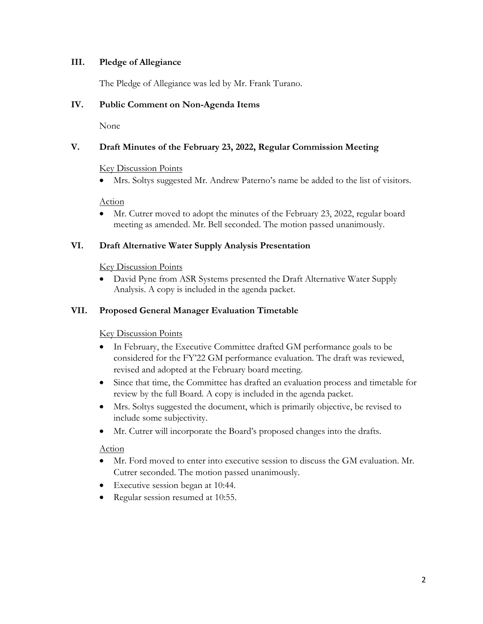## **III. Pledge of Allegiance**

The Pledge of Allegiance was led by Mr. Frank Turano.

## **IV. Public Comment on Non-Agenda Items**

None

# **V. Draft Minutes of the February 23, 2022, Regular Commission Meeting**

#### Key Discussion Points

• Mrs. Soltys suggested Mr. Andrew Paterno's name be added to the list of visitors.

#### Action

• Mr. Cutrer moved to adopt the minutes of the February 23, 2022, regular board meeting as amended. Mr. Bell seconded. The motion passed unanimously.

## **VI. Draft Alternative Water Supply Analysis Presentation**

#### Key Discussion Points

• David Pyne from ASR Systems presented the Draft Alternative Water Supply Analysis. A copy is included in the agenda packet.

# **VII. Proposed General Manager Evaluation Timetable**

#### Key Discussion Points

- In February, the Executive Committee drafted GM performance goals to be considered for the FY'22 GM performance evaluation. The draft was reviewed, revised and adopted at the February board meeting.
- Since that time, the Committee has drafted an evaluation process and timetable for review by the full Board. A copy is included in the agenda packet.
- Mrs. Soltys suggested the document, which is primarily objective, be revised to include some subjectivity.
- Mr. Cutrer will incorporate the Board's proposed changes into the drafts.

#### Action

- Mr. Ford moved to enter into executive session to discuss the GM evaluation. Mr. Cutrer seconded. The motion passed unanimously.
- Executive session began at 10:44.
- Regular session resumed at 10:55.